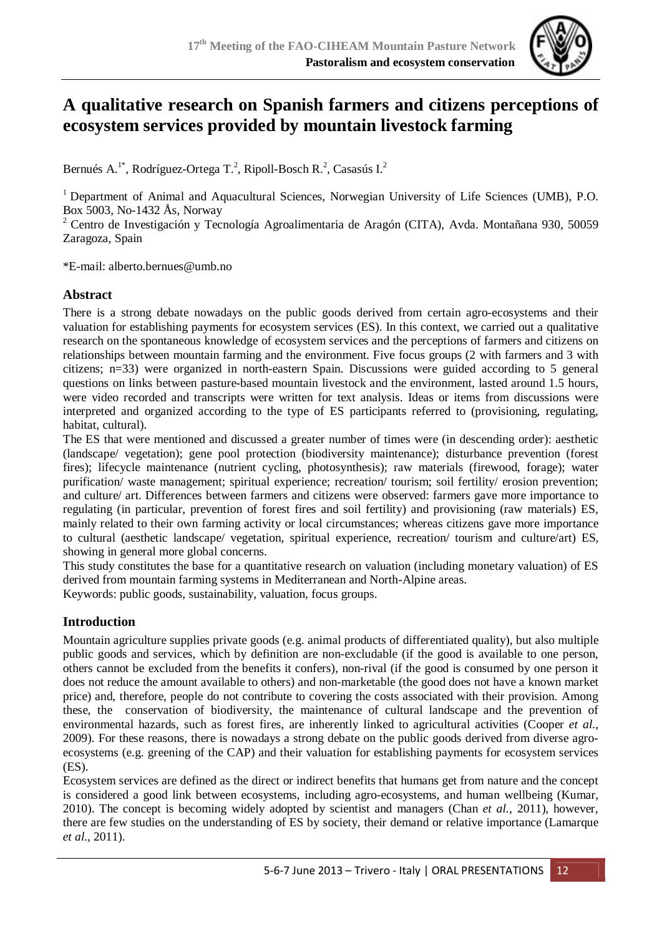

# **A qualitative research on Spanish farmers and citizens perceptions of ecosystem services provided by mountain livestock farming**

Bernués A.<sup>1\*</sup>, Rodríguez-Ortega T.<sup>2</sup>, Ripoll-Bosch R.<sup>2</sup>, Casasús I.<sup>2</sup>

<sup>1</sup> Department of Animal and Aquacultural Sciences, Norwegian University of Life Sciences (UMB), P.O. Box 5003, No-1432 Ås, Norway

<sup>2</sup> Centro de Investigación y Tecnología Agroalimentaria de Aragón (CITA), Avda. Montañana 930, 50059 Zaragoza, Spain

\*E-mail: alberto.bernues@umb.no

#### **Abstract**

There is a strong debate nowadays on the public goods derived from certain agro-ecosystems and their valuation for establishing payments for ecosystem services (ES). In this context, we carried out a qualitative research on the spontaneous knowledge of ecosystem services and the perceptions of farmers and citizens on relationships between mountain farming and the environment. Five focus groups (2 with farmers and 3 with citizens; n=33) were organized in north-eastern Spain. Discussions were guided according to 5 general questions on links between pasture-based mountain livestock and the environment, lasted around 1.5 hours, were video recorded and transcripts were written for text analysis. Ideas or items from discussions were interpreted and organized according to the type of ES participants referred to (provisioning, regulating, habitat, cultural).

The ES that were mentioned and discussed a greater number of times were (in descending order): aesthetic (landscape/ vegetation); gene pool protection (biodiversity maintenance); disturbance prevention (forest fires); lifecycle maintenance (nutrient cycling, photosynthesis); raw materials (firewood, forage); water purification/ waste management; spiritual experience; recreation/ tourism; soil fertility/ erosion prevention; and culture/ art. Differences between farmers and citizens were observed: farmers gave more importance to regulating (in particular, prevention of forest fires and soil fertility) and provisioning (raw materials) ES, mainly related to their own farming activity or local circumstances; whereas citizens gave more importance to cultural (aesthetic landscape/ vegetation, spiritual experience, recreation/ tourism and culture/art) ES, showing in general more global concerns.

This study constitutes the base for a quantitative research on valuation (including monetary valuation) of ES derived from mountain farming systems in Mediterranean and North-Alpine areas.

Keywords: public goods, sustainability, valuation, focus groups.

## **Introduction**

Mountain agriculture supplies private goods (e.g. animal products of differentiated quality), but also multiple public goods and services, which by definition are non-excludable (if the good is available to one person, others cannot be excluded from the benefits it confers), non-rival (if the good is consumed by one person it does not reduce the amount available to others) and non-marketable (the good does not have a known market price) and, therefore, people do not contribute to covering the costs associated with their provision. Among these, the conservation of biodiversity, the maintenance of cultural landscape and the prevention of environmental hazards, such as forest fires, are inherently linked to agricultural activities (Cooper *et al.*, 2009). For these reasons, there is nowadays a strong debate on the public goods derived from diverse agroecosystems (e.g. greening of the CAP) and their valuation for establishing payments for ecosystem services (ES).

Ecosystem services are defined as the direct or indirect benefits that humans get from nature and the concept is considered a good link between ecosystems, including agro-ecosystems, and human wellbeing (Kumar, 2010). The concept is becoming widely adopted by scientist and managers (Chan *et al.*, 2011), however, there are few studies on the understanding of ES by society, their demand or relative importance (Lamarque *et al.*, 2011).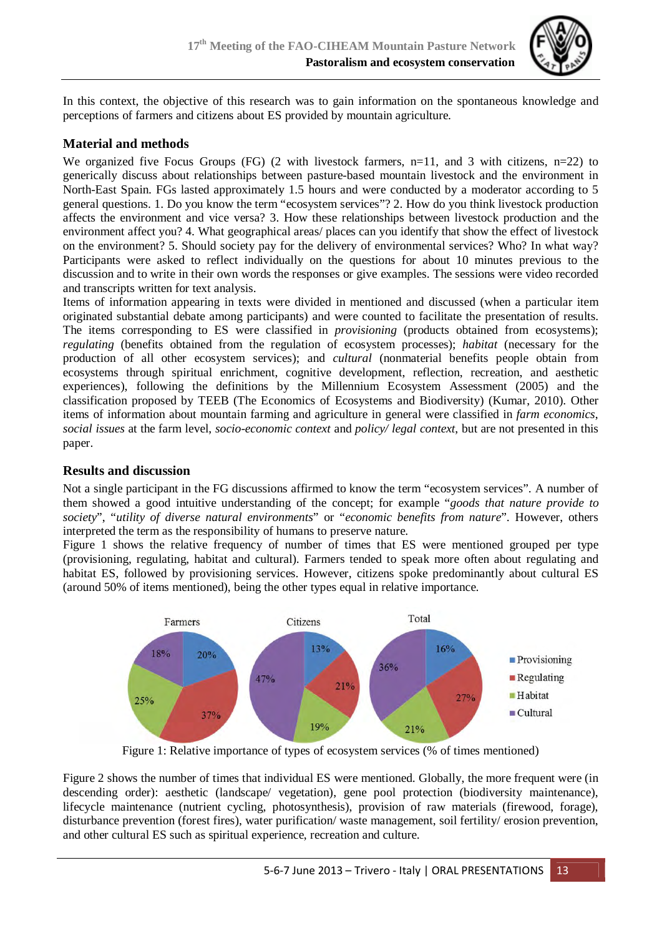

In this context, the objective of this research was to gain information on the spontaneous knowledge and perceptions of farmers and citizens about ES provided by mountain agriculture.

# **Material and methods**

We organized five Focus Groups (FG) (2 with livestock farmers,  $n=11$ , and 3 with citizens,  $n=22$ ) to generically discuss about relationships between pasture-based mountain livestock and the environment in North-East Spain. FGs lasted approximately 1.5 hours and were conducted by a moderator according to 5 general questions. 1. Do you know the term "ecosystem services"? 2. How do you think livestock production affects the environment and vice versa? 3. How these relationships between livestock production and the environment affect you? 4. What geographical areas/ places can you identify that show the effect of livestock on the environment? 5. Should society pay for the delivery of environmental services? Who? In what way? Participants were asked to reflect individually on the questions for about 10 minutes previous to the discussion and to write in their own words the responses or give examples. The sessions were video recorded and transcripts written for text analysis.

Items of information appearing in texts were divided in mentioned and discussed (when a particular item originated substantial debate among participants) and were counted to facilitate the presentation of results. The items corresponding to ES were classified in *provisioning* (products obtained from ecosystems); *regulating* (benefits obtained from the regulation of ecosystem processes); *habitat* (necessary for the production of all other ecosystem services); and *cultural* (nonmaterial benefits people obtain from ecosystems through spiritual enrichment, cognitive development, reflection, recreation, and aesthetic experiences), following the definitions by the Millennium Ecosystem Assessment (2005) and the classification proposed by TEEB (The Economics of Ecosystems and Biodiversity) (Kumar, 2010). Other items of information about mountain farming and agriculture in general were classified in *farm economics*, *social issues* at the farm level, *socio-economic context* and *policy/ legal context*, but are not presented in this paper.

#### **Results and discussion**

Not a single participant in the FG discussions affirmed to know the term "ecosystem services". A number of them showed a good intuitive understanding of the concept; for example "*goods that nature provide to society*", "*utility of diverse natural environments*" or "*economic benefits from nature*". However, others interpreted the term as the responsibility of humans to preserve nature.

Figure 1 shows the relative frequency of number of times that ES were mentioned grouped per type (provisioning, regulating, habitat and cultural). Farmers tended to speak more often about regulating and habitat ES, followed by provisioning services. However, citizens spoke predominantly about cultural ES (around 50% of items mentioned), being the other types equal in relative importance.



Figure 1: Relative importance of types of ecosystem services (% of times mentioned)

Figure 2 shows the number of times that individual ES were mentioned. Globally, the more frequent were (in descending order): aesthetic (landscape/ vegetation), gene pool protection (biodiversity maintenance), lifecycle maintenance (nutrient cycling, photosynthesis), provision of raw materials (firewood, forage), disturbance prevention (forest fires), water purification/ waste management, soil fertility/ erosion prevention, and other cultural ES such as spiritual experience, recreation and culture.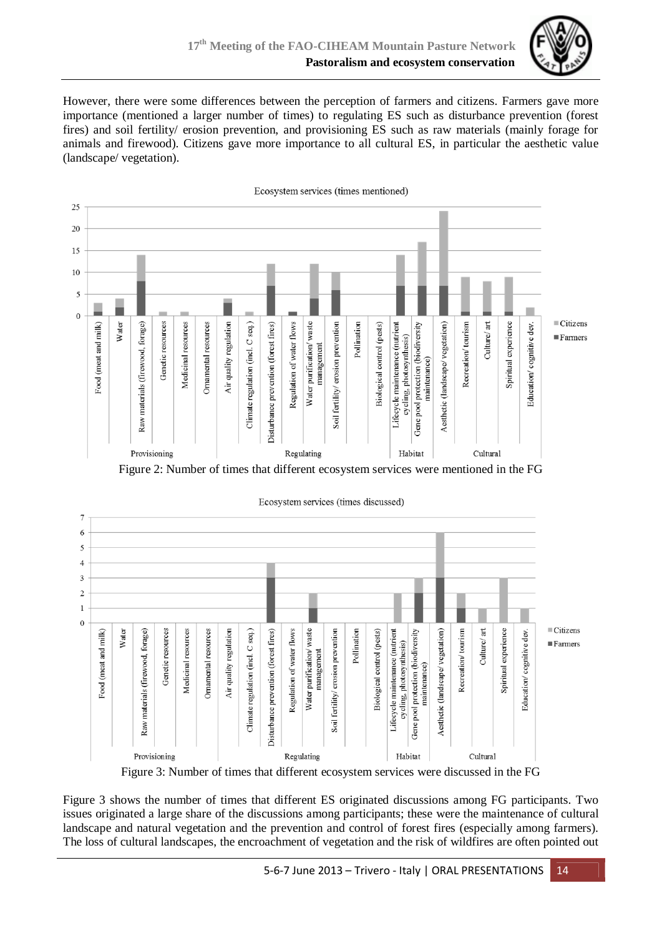

However, there were some differences between the perception of farmers and citizens. Farmers gave more importance (mentioned a larger number of times) to regulating ES such as disturbance prevention (forest fires) and soil fertility/ erosion prevention, and provisioning ES such as raw materials (mainly forage for animals and firewood). Citizens gave more importance to all cultural ES, in particular the aesthetic value (landscape/ vegetation).





Ecosystem services (times discussed)

Figure 3: Number of times that different ecosystem services were discussed in the FG

Figure 3 shows the number of times that different ES originated discussions among FG participants. Two issues originated a large share of the discussions among participants; these were the maintenance of cultural landscape and natural vegetation and the prevention and control of forest fires (especially among farmers). The loss of cultural landscapes, the encroachment of vegetation and the risk of wildfires are often pointed out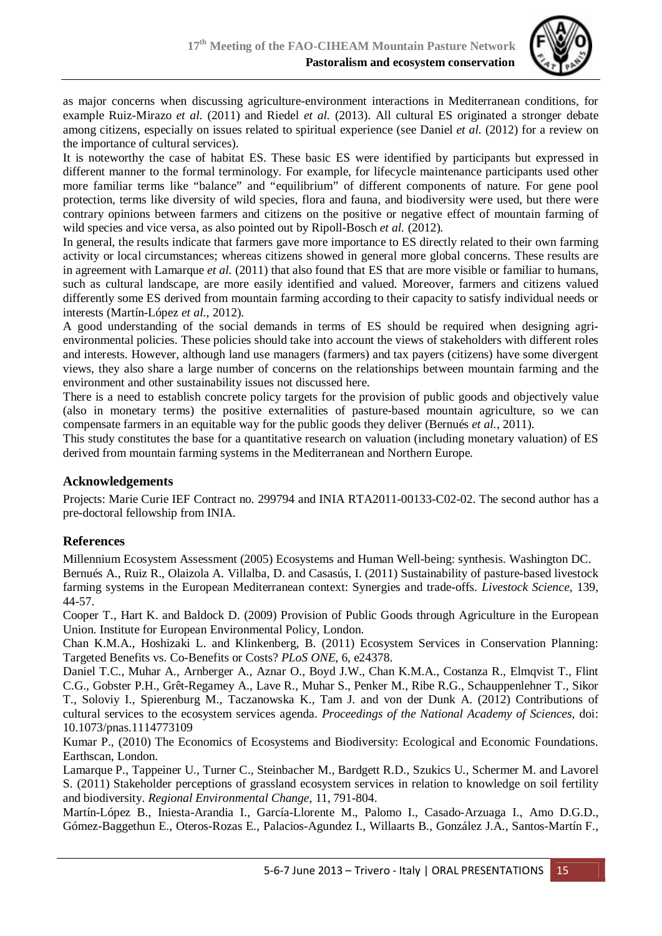

as major concerns when discussing agriculture-environment interactions in Mediterranean conditions, for example Ruiz-Mirazo *et al.* (2011) and Riedel *et al.* (2013). All cultural ES originated a stronger debate among citizens, especially on issues related to spiritual experience (see Daniel *et al.* (2012) for a review on the importance of cultural services).

It is noteworthy the case of habitat ES. These basic ES were identified by participants but expressed in different manner to the formal terminology. For example, for lifecycle maintenance participants used other more familiar terms like "balance" and "equilibrium" of different components of nature. For gene pool protection, terms like diversity of wild species, flora and fauna, and biodiversity were used, but there were contrary opinions between farmers and citizens on the positive or negative effect of mountain farming of wild species and vice versa, as also pointed out by Ripoll-Bosch *et al.* (2012).

In general, the results indicate that farmers gave more importance to ES directly related to their own farming activity or local circumstances; whereas citizens showed in general more global concerns. These results are in agreement with Lamarque *et al.* (2011) that also found that ES that are more visible or familiar to humans, such as cultural landscape, are more easily identified and valued. Moreover, farmers and citizens valued differently some ES derived from mountain farming according to their capacity to satisfy individual needs or interests (Martín-López *et al.*, 2012).

A good understanding of the social demands in terms of ES should be required when designing agrienvironmental policies. These policies should take into account the views of stakeholders with different roles and interests. However, although land use managers (farmers) and tax payers (citizens) have some divergent views, they also share a large number of concerns on the relationships between mountain farming and the environment and other sustainability issues not discussed here.

There is a need to establish concrete policy targets for the provision of public goods and objectively value (also in monetary terms) the positive externalities of pasture-based mountain agriculture, so we can compensate farmers in an equitable way for the public goods they deliver (Bernués *et al.*, 2011).

This study constitutes the base for a quantitative research on valuation (including monetary valuation) of ES derived from mountain farming systems in the Mediterranean and Northern Europe.

## **Acknowledgements**

Projects: Marie Curie IEF Contract no. 299794 and INIA RTA2011-00133-C02-02. The second author has a pre-doctoral fellowship from INIA.

#### **References**

Millennium Ecosystem Assessment (2005) Ecosystems and Human Well-being: synthesis. Washington DC. Bernués A., Ruiz R., Olaizola A. Villalba, D. and Casasús, I. (2011) Sustainability of pasture-based livestock farming systems in the European Mediterranean context: Synergies and trade-offs. *Livestock Science*, 139, 44-57.

Cooper T., Hart K. and Baldock D. (2009) Provision of Public Goods through Agriculture in the European Union. Institute for European Environmental Policy, London.

Chan K.M.A., Hoshizaki L. and Klinkenberg, B. (2011) Ecosystem Services in Conservation Planning: Targeted Benefits vs. Co-Benefits or Costs? *PLoS ONE*, 6, e24378.

Daniel T.C., Muhar A., Arnberger A., Aznar O., Boyd J.W., Chan K.M.A., Costanza R., Elmqvist T., Flint C.G., Gobster P.H., Grêt-Regamey A., Lave R., Muhar S., Penker M., Ribe R.G., Schauppenlehner T., Sikor T., Soloviy I., Spierenburg M., Taczanowska K., Tam J. and von der Dunk A. (2012) Contributions of cultural services to the ecosystem services agenda. *Proceedings of the National Academy of Sciences*, doi: 10.1073/pnas.1114773109

Kumar P., (2010) The Economics of Ecosystems and Biodiversity: Ecological and Economic Foundations. Earthscan, London.

Lamarque P., Tappeiner U., Turner C., Steinbacher M., Bardgett R.D., Szukics U., Schermer M. and Lavorel S. (2011) Stakeholder perceptions of grassland ecosystem services in relation to knowledge on soil fertility and biodiversity. *Regional Environmental Change*, 11, 791-804.

Martín-López B., Iniesta-Arandia I., García-Llorente M., Palomo I., Casado-Arzuaga I., Amo D.G.D., Gómez-Baggethun E., Oteros-Rozas E., Palacios-Agundez I., Willaarts B., González J.A., Santos-Martín F.,